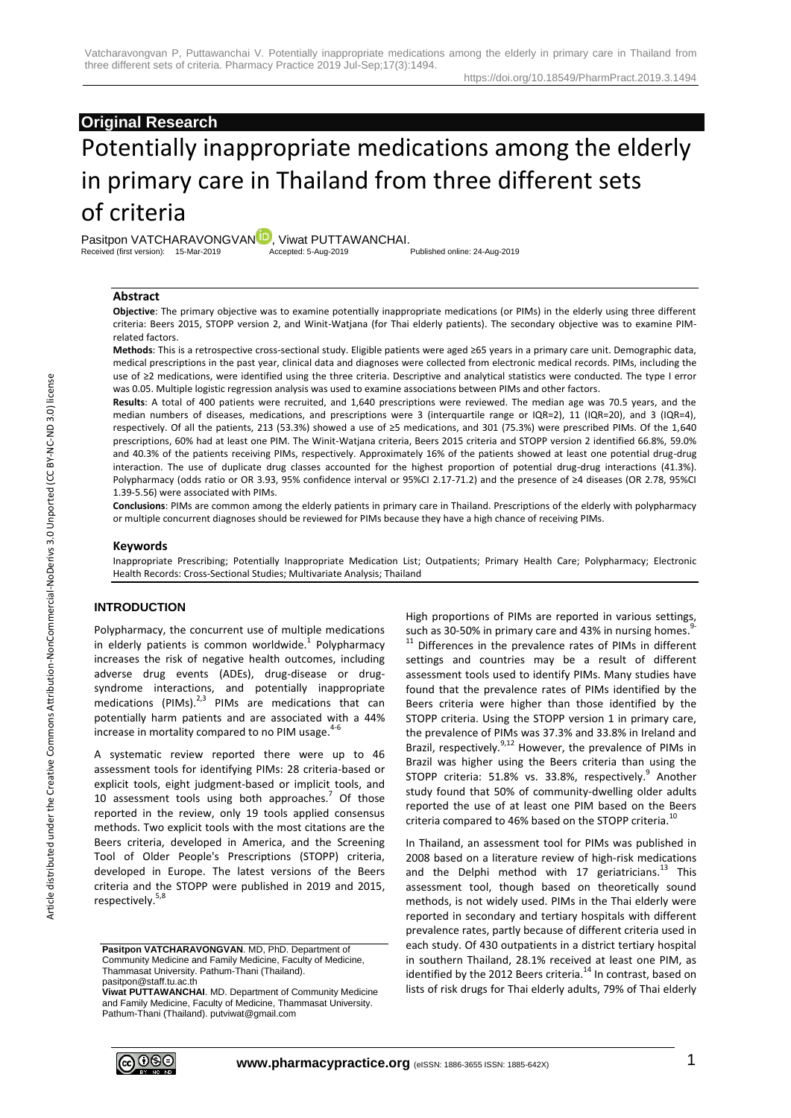# **Original Research**

# Potentially inappropriate medications among the elderly in primary care in Thailand from three different sets of criteria

Pasitpon VATCHARAVO[N](http://orcid.org/0000-0002-8655-7154)GVAN<sup>ID</sup>, Viwat PUTTAWANCHAI.<br>Received (first version): 15-Mar-2019 Accepted: 5-Aug-2019 Published online: 24-Aug-2019 Received (first version): 15-Mar-2019

## **Abstract**

**Objective**: The primary objective was to examine potentially inappropriate medications (or PIMs) in the elderly using three different criteria: Beers 2015, STOPP version 2, and Winit-Watjana (for Thai elderly patients). The secondary objective was to examine PIMrelated factors.

**Methods**: This is a retrospective cross-sectional study. Eligible patients were aged ≥65 years in a primary care unit. Demographic data, medical prescriptions in the past year, clinical data and diagnoses were collected from electronic medical records. PIMs, including the use of ≥2 medications, were identified using the three criteria. Descriptive and analytical statistics were conducted. The type I error was 0.05. Multiple logistic regression analysis was used to examine associations between PIMs and other factors.

**Results**: A total of 400 patients were recruited, and 1,640 prescriptions were reviewed. The median age was 70.5 years, and the median numbers of diseases, medications, and prescriptions were 3 (interquartile range or IQR=2), 11 (IQR=20), and 3 (IQR=4), respectively. Of all the patients, 213 (53.3%) showed a use of ≥5 medications, and 301 (75.3%) were prescribed PIMs. Of the 1,640 prescriptions, 60% had at least one PIM. The Winit-Watjana criteria, Beers 2015 criteria and STOPP version 2 identified 66.8%, 59.0% and 40.3% of the patients receiving PIMs, respectively. Approximately 16% of the patients showed at least one potential drug-drug interaction. The use of duplicate drug classes accounted for the highest proportion of potential drug-drug interactions (41.3%). Polypharmacy (odds ratio or OR 3.93, 95% confidence interval or 95%CI 2.17-71.2) and the presence of ≥4 diseases (OR 2.78, 95%CI 1.39-5.56) were associated with PIMs.

**Conclusions**: PIMs are common among the elderly patients in primary care in Thailand. Prescriptions of the elderly with polypharmacy or multiple concurrent diagnoses should be reviewed for PIMs because they have a high chance of receiving PIMs.

#### **Keywords**

Inappropriate Prescribing; Potentially Inappropriate Medication List; Outpatients; Primary Health Care; Polypharmacy; Electronic Health Records: Cross-Sectional Studies; Multivariate Analysis; Thailand

## **INTRODUCTION**

Polypharmacy, the concurrent use of multiple medications in elderly patients is common worldwide.<sup>1</sup> Polypharmacy increases the risk of negative health outcomes, including adverse drug events (ADEs), drug-disease or drugsyndrome interactions, and potentially inappropriate medications (PIMs). $2,3$  PIMs are medications that can potentially harm patients and are associated with a 44% increase in mortality compared to no PIM usage.<sup>4-6</sup>

A systematic review reported there were up to 46 assessment tools for identifying PIMs: 28 criteria-based or explicit tools, eight judgment-based or implicit tools, and 10 assessment tools using both approaches.<sup>7</sup> Of those reported in the review, only 19 tools applied consensus methods. Two explicit tools with the most citations are the Beers criteria, developed in America, and the Screening Tool of Older People's Prescriptions (STOPP) criteria, developed in Europe. The latest versions of the Beers criteria and the STOPP were published in 2019 and 2015, respectively.<sup>5,8</sup>

**Pasitpon VATCHARAVONGVAN**. MD, PhD. Department of Community Medicine and Family Medicine, Faculty of Medicine, Thammasat University. Pathum-Thani (Thailand). pasitpon@staff.tu.ac.th

**Viwat PUTTAWANCHAI**. MD. Department of Community Medicine and Family Medicine, Faculty of Medicine, Thammasat University. Pathum-Thani (Thailand). putviwat@gmail.com

High proportions of PIMs are reported in various settings, such as 30-50% in primary care and 43% in nursing homes.<sup>9</sup>  $11$  Differences in the prevalence rates of PIMs in different settings and countries may be a result of different assessment tools used to identify PIMs. Many studies have found that the prevalence rates of PIMs identified by the Beers criteria were higher than those identified by the STOPP criteria. Using the STOPP version 1 in primary care, the prevalence of PIMs was 37.3% and 33.8% in Ireland and Brazil, respectively.<sup>9,12</sup> However, the prevalence of PIMs in Brazil was higher using the Beers criteria than using the STOPP criteria: 51.8% vs. 33.8%, respectively.<sup>9</sup> Another study found that 50% of community-dwelling older adults reported the use of at least one PIM based on the Beers criteria compared to 46% based on the STOPP criteria.<sup>10</sup>

In Thailand, an assessment tool for PIMs was published in 2008 based on a literature review of high-risk medications and the Delphi method with 17 geriatricians.<sup>13</sup> This assessment tool, though based on theoretically sound methods, is not widely used. PIMs in the Thai elderly were reported in secondary and tertiary hospitals with different prevalence rates, partly because of different criteria used in each study. Of 430 outpatients in a district tertiary hospital in southern Thailand, 28.1% received at least one PIM, as identified by the 2012 Beers criteria.<sup>14</sup> In contrast, based on lists of risk drugs for Thai elderly adults, 79% of Thai elderly

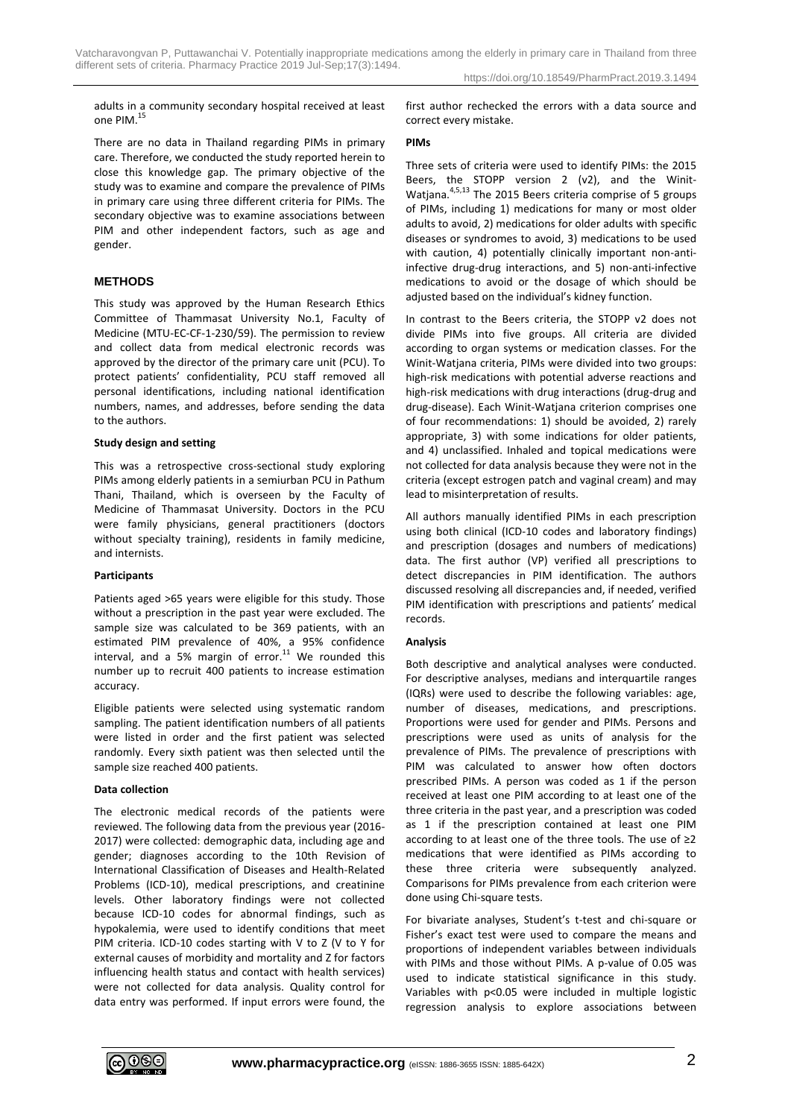adults in a community secondary hospital received at least one PIM. 15

There are no data in Thailand regarding PIMs in primary care. Therefore, we conducted the study reported herein to close this knowledge gap. The primary objective of the study was to examine and compare the prevalence of PIMs in primary care using three different criteria for PIMs. The secondary objective was to examine associations between PIM and other independent factors, such as age and gender.

## **METHODS**

This study was approved by the Human Research Ethics Committee of Thammasat University No.1, Faculty of Medicine (MTU-EC-CF-1-230/59). The permission to review and collect data from medical electronic records was approved by the director of the primary care unit (PCU). To protect patients' confidentiality, PCU staff removed all personal identifications, including national identification numbers, names, and addresses, before sending the data to the authors.

#### **Study design and setting**

This was a retrospective cross-sectional study exploring PIMs among elderly patients in a semiurban PCU in Pathum Thani, Thailand, which is overseen by the Faculty of Medicine of Thammasat University. Doctors in the PCU were family physicians, general practitioners (doctors without specialty training), residents in family medicine, and internists.

#### **Participants**

Patients aged >65 years were eligible for this study. Those without a prescription in the past year were excluded. The sample size was calculated to be 369 patients, with an estimated PIM prevalence of 40%, a 95% confidence interval, and a 5% margin of error. $11$  We rounded this number up to recruit 400 patients to increase estimation accuracy.

Eligible patients were selected using systematic random sampling. The patient identification numbers of all patients were listed in order and the first patient was selected randomly. Every sixth patient was then selected until the sample size reached 400 patients.

### **Data collection**

The electronic medical records of the patients were reviewed. The following data from the previous year (2016- 2017) were collected: demographic data, including age and gender; diagnoses according to the 10th Revision of International Classification of Diseases and Health-Related Problems (ICD-10), medical prescriptions, and creatinine levels. Other laboratory findings were not collected because ICD-10 codes for abnormal findings, such as hypokalemia, were used to identify conditions that meet PIM criteria. ICD-10 codes starting with V to Z (V to Y for external causes of morbidity and mortality and Z for factors influencing health status and contact with health services) were not collected for data analysis. Quality control for data entry was performed. If input errors were found, the first author rechecked the errors with a data source and correct every mistake.

#### **PIMs**

Three sets of criteria were used to identify PIMs: the 2015 Beers, the STOPP version 2 (v2), and the Winit-Watiana.<sup>4,5,13</sup> The 2015 Beers criteria comprise of 5 groups of PIMs, including 1) medications for many or most older adults to avoid, 2) medications for older adults with specific diseases or syndromes to avoid, 3) medications to be used with caution, 4) potentially clinically important non-antiinfective drug-drug interactions, and 5) non-anti-infective medications to avoid or the dosage of which should be adjusted based on the individual's kidney function.

In contrast to the Beers criteria, the STOPP v2 does not divide PIMs into five groups. All criteria are divided according to organ systems or medication classes. For the Winit-Watjana criteria, PIMs were divided into two groups: high-risk medications with potential adverse reactions and high-risk medications with drug interactions (drug-drug and drug-disease). Each Winit-Watjana criterion comprises one of four recommendations: 1) should be avoided, 2) rarely appropriate, 3) with some indications for older patients, and 4) unclassified. Inhaled and topical medications were not collected for data analysis because they were not in the criteria (except estrogen patch and vaginal cream) and may lead to misinterpretation of results.

All authors manually identified PIMs in each prescription using both clinical (ICD-10 codes and laboratory findings) and prescription (dosages and numbers of medications) data. The first author (VP) verified all prescriptions to detect discrepancies in PIM identification. The authors discussed resolving all discrepancies and, if needed, verified PIM identification with prescriptions and patients' medical records.

#### **Analysis**

Both descriptive and analytical analyses were conducted. For descriptive analyses, medians and interquartile ranges (IQRs) were used to describe the following variables: age, number of diseases, medications, and prescriptions. Proportions were used for gender and PIMs. Persons and prescriptions were used as units of analysis for the prevalence of PIMs. The prevalence of prescriptions with PIM was calculated to answer how often doctors prescribed PIMs. A person was coded as 1 if the person received at least one PIM according to at least one of the three criteria in the past year, and a prescription was coded as 1 if the prescription contained at least one PIM according to at least one of the three tools. The use of ≥2 medications that were identified as PIMs according to these three criteria were subsequently analyzed. Comparisons for PIMs prevalence from each criterion were done using Chi-square tests.

For bivariate analyses, Student's t-test and chi-square or Fisher's exact test were used to compare the means and proportions of independent variables between individuals with PIMs and those without PIMs. A p-value of 0.05 was used to indicate statistical significance in this study. Variables with p<0.05 were included in multiple logistic regression analysis to explore associations between

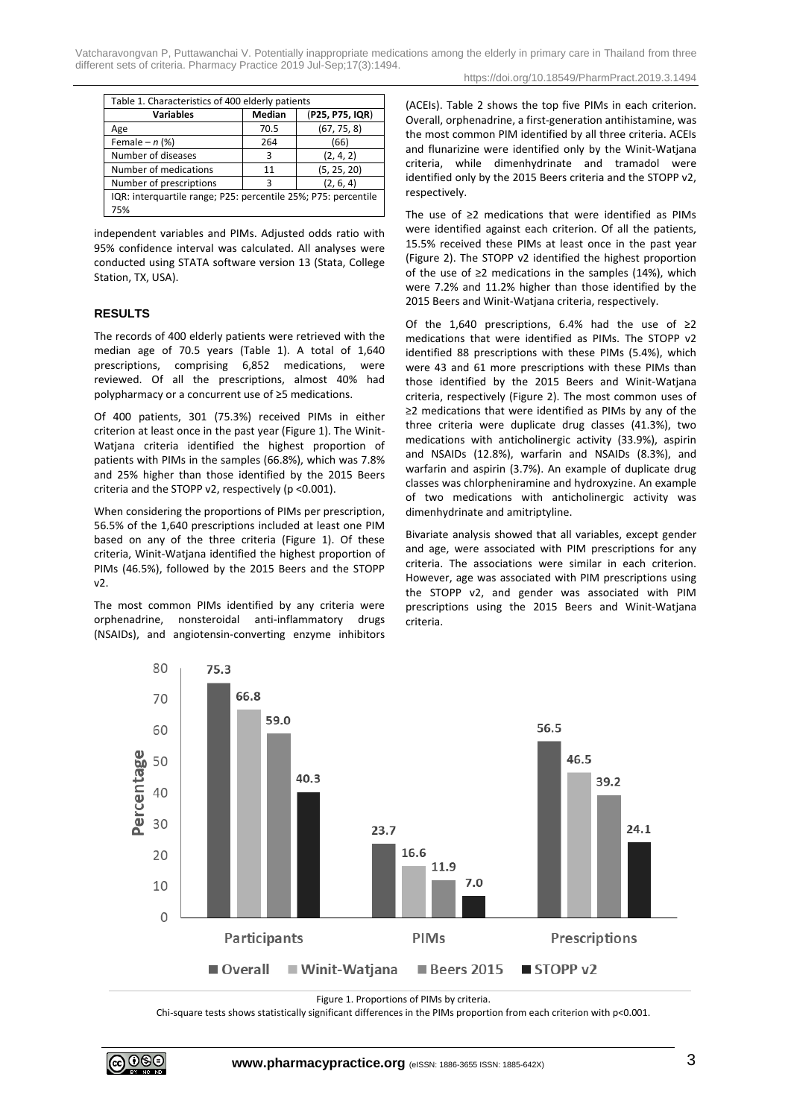| Table 1. Characteristics of 400 elderly patients               |        |                 |  |  |  |  |  |
|----------------------------------------------------------------|--------|-----------------|--|--|--|--|--|
| <b>Variables</b>                                               | Median | (P25, P75, IQR) |  |  |  |  |  |
| Age                                                            | 70.5   | (67, 75, 8)     |  |  |  |  |  |
| Female $- n$ (%)                                               | 264    | (66)            |  |  |  |  |  |
| Number of diseases                                             | 3      | (2, 4, 2)       |  |  |  |  |  |
| Number of medications                                          | 11     | (5, 25, 20)     |  |  |  |  |  |
| Number of prescriptions                                        | ર      | (2, 6, 4)       |  |  |  |  |  |
| IQR: interquartile range; P25: percentile 25%; P75: percentile |        |                 |  |  |  |  |  |
| 75%                                                            |        |                 |  |  |  |  |  |

independent variables and PIMs. Adjusted odds ratio with 95% confidence interval was calculated. All analyses were conducted using STATA software version 13 (Stata, College Station, TX, USA).

## **RESULTS**

The records of 400 elderly patients were retrieved with the median age of 70.5 years (Table 1). A total of 1,640 prescriptions, comprising 6,852 medications, were reviewed. Of all the prescriptions, almost 40% had polypharmacy or a concurrent use of ≥5 medications.

Of 400 patients, 301 (75.3%) received PIMs in either criterion at least once in the past year (Figure 1). The Winit-Watjana criteria identified the highest proportion of patients with PIMs in the samples (66.8%), which was 7.8% and 25% higher than those identified by the 2015 Beers criteria and the STOPP v2, respectively (p <0.001).

When considering the proportions of PIMs per prescription, 56.5% of the 1,640 prescriptions included at least one PIM based on any of the three criteria (Figure 1). Of these criteria, Winit-Watjana identified the highest proportion of PIMs (46.5%), followed by the 2015 Beers and the STOPP v2.

The most common PIMs identified by any criteria were orphenadrine, nonsteroidal anti-inflammatory drugs (NSAIDs), and angiotensin-converting enzyme inhibitors (ACEIs). Table 2 shows the top five PIMs in each criterion. Overall, orphenadrine, a first-generation antihistamine, was the most common PIM identified by all three criteria. ACEIs and flunarizine were identified only by the Winit-Watjana criteria, while dimenhydrinate and tramadol were identified only by the 2015 Beers criteria and the STOPP v2, respectively.

The use of ≥2 medications that were identified as PIMs were identified against each criterion. Of all the patients, 15.5% received these PIMs at least once in the past year (Figure 2). The STOPP v2 identified the highest proportion of the use of ≥2 medications in the samples (14%), which were 7.2% and 11.2% higher than those identified by the 2015 Beers and Winit-Watjana criteria, respectively.

Of the 1,640 prescriptions, 6.4% had the use of  $\geq 2$ medications that were identified as PIMs. The STOPP v2 identified 88 prescriptions with these PIMs (5.4%), which were 43 and 61 more prescriptions with these PIMs than those identified by the 2015 Beers and Winit-Watjana criteria, respectively (Figure 2). The most common uses of ≥2 medications that were identified as PIMs by any of the three criteria were duplicate drug classes (41.3%), two medications with anticholinergic activity (33.9%), aspirin and NSAIDs (12.8%), warfarin and NSAIDs (8.3%), and warfarin and aspirin (3.7%). An example of duplicate drug classes was chlorpheniramine and hydroxyzine. An example of two medications with anticholinergic activity was dimenhydrinate and amitriptyline.

Bivariate analysis showed that all variables, except gender and age, were associated with PIM prescriptions for any criteria. The associations were similar in each criterion. However, age was associated with PIM prescriptions using the STOPP v2, and gender was associated with PIM prescriptions using the 2015 Beers and Winit-Watjana criteria.



Figure 1. Proportions of PIMs by criteria.

Chi-square tests shows statistically significant differences in the PIMs proportion from each criterion with p<0.001.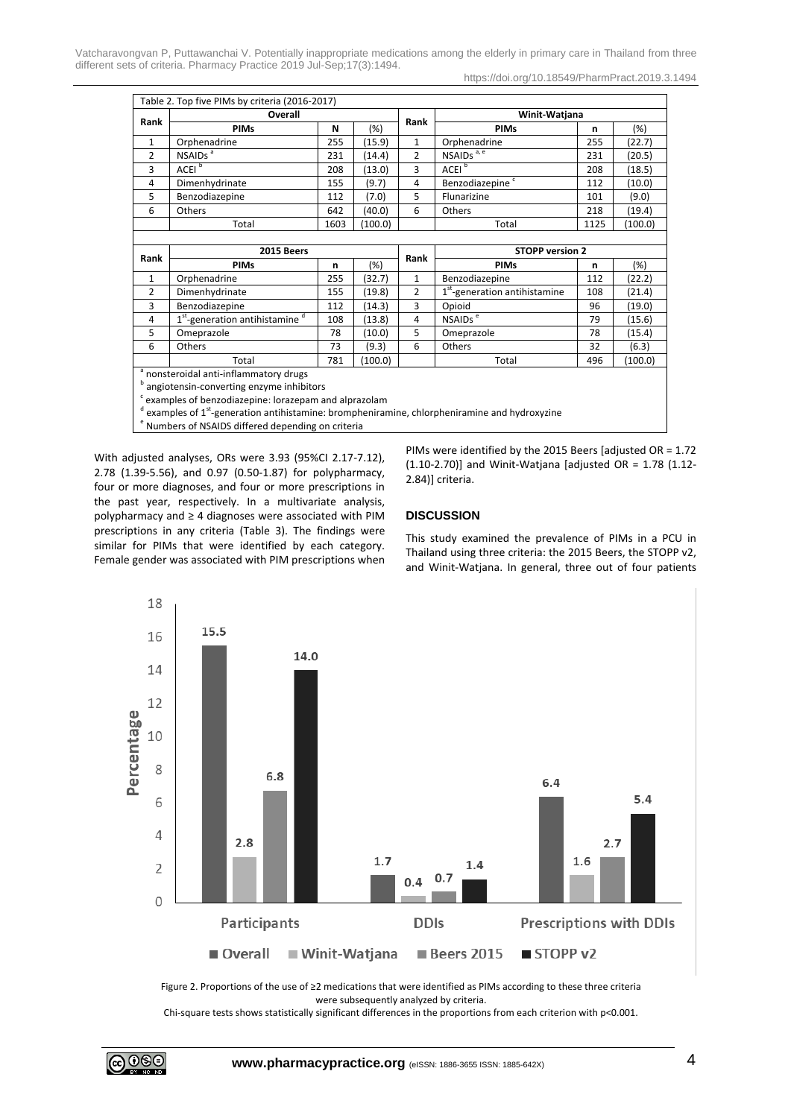Vatcharavongvan P, Puttawanchai V. Potentially inappropriate medications among the elderly in primary care in Thailand from three different sets of criteria. Pharmacy Practice 2019 Jul-Sep;17(3):1494.

https://doi.org/10.18549/PharmPract.2019.3.1494

| Table 2. Top five PIMs by criteria (2016-2017) |                                                        |      |         |                |                                           |      |         |  |
|------------------------------------------------|--------------------------------------------------------|------|---------|----------------|-------------------------------------------|------|---------|--|
| Rank                                           | Overall                                                |      |         |                | Winit-Watjana                             |      |         |  |
|                                                | <b>PIMs</b>                                            | N    | $(\%)$  | Rank           | <b>PIMs</b>                               | n    | (%)     |  |
| 1                                              | Orphenadrine                                           | 255  | (15.9)  | $\mathbf{1}$   | Orphenadrine                              | 255  | (22.7)  |  |
| $\overline{2}$                                 | NSAIDs <sup>a</sup>                                    | 231  | (14.4)  | $\overline{2}$ | NSAID <sub>s</sub> <sup>a, e</sup>        | 231  | (20.5)  |  |
| 3                                              | ACEI <sup>b</sup>                                      | 208  | (13.0)  | 3              | ACEI <sup>b</sup>                         | 208  | (18.5)  |  |
| 4                                              | Dimenhydrinate                                         | 155  | (9.7)   | 4              | Benzodiazepine <sup>c</sup>               | 112  | (10.0)  |  |
| 5                                              | Benzodiazepine                                         | 112  | (7.0)   | 5              | Flunarizine                               | 101  | (9.0)   |  |
| 6                                              | Others                                                 | 642  | (40.0)  | 6              | Others                                    | 218  | (19.4)  |  |
|                                                | Total                                                  | 1603 | (100.0) |                | Total                                     | 1125 | (100.0) |  |
|                                                |                                                        |      |         |                |                                           |      |         |  |
|                                                |                                                        |      |         |                |                                           |      |         |  |
|                                                | 2015 Beers                                             |      |         |                | <b>STOPP version 2</b>                    |      |         |  |
| Rank                                           | <b>PIMs</b>                                            | n    | $(\%)$  | Rank           | <b>PIMs</b>                               | n    | (%)     |  |
| $\mathbf{1}$                                   | Orphenadrine                                           | 255  | (32.7)  | $\mathbf{1}$   | Benzodiazepine                            | 112  | (22.2)  |  |
| $\overline{2}$                                 | Dimenhydrinate                                         | 155  | (19.8)  | $\overline{2}$ | 1 <sup>st</sup> -generation antihistamine | 108  | (21.4)  |  |
| 3                                              | Benzodiazepine                                         | 112  | (14.3)  | 3              | Opioid                                    | 96   | (19.0)  |  |
| 4                                              | 1 <sup>st</sup> -generation antihistamine <sup>d</sup> | 108  | (13.8)  | 4              | NSAIDs <sup>e</sup>                       | 79   | (15.6)  |  |
| 5                                              | Omeprazole                                             | 78   | (10.0)  | 5              | Omeprazole                                | 78   | (15.4)  |  |
| 6                                              | Others                                                 | 73   | (9.3)   | 6              | <b>Others</b>                             | 32   | (6.3)   |  |
|                                                | Total                                                  | 781  | (100.0) |                | Total                                     | 496  | (100.0) |  |
|                                                | <sup>a</sup> nonsteroidal anti-inflammatory drugs      |      |         |                |                                           |      |         |  |

angiotensin-converting enzyme inhibitors

 $c$  examples of benzodiazepine: lorazepam and alprazolam

<sup>d</sup> examples of 1<sup>st</sup>-generation antihistamine: brompheniramine, chlorpheniramine and hydroxyzine

<sup>e</sup> Numbers of NSAIDS differed depending on criteria

With adjusted analyses, ORs were 3.93 (95%CI 2.17-7.12), 2.78 (1.39-5.56), and 0.97 (0.50-1.87) for polypharmacy, four or more diagnoses, and four or more prescriptions in the past year, respectively. In a multivariate analysis, polypharmacy and ≥ 4 diagnoses were associated with PIM prescriptions in any criteria (Table 3). The findings were similar for PIMs that were identified by each category. Female gender was associated with PIM prescriptions when PIMs were identified by the 2015 Beers [adjusted OR = 1.72 (1.10-2.70)] and Winit-Watjana [adjusted OR = 1.78 (1.12- 2.84)] criteria.

## **DISCUSSION**

This study examined the prevalence of PIMs in a PCU in Thailand using three criteria: the 2015 Beers, the STOPP v2, and Winit-Watjana. In general, three out of four patients



Figure 2. Proportions of the use of ≥2 medications that were identified as PIMs according to these three criteria were subsequently analyzed by criteria.

Chi-square tests shows statistically significant differences in the proportions from each criterion with p<0.001.

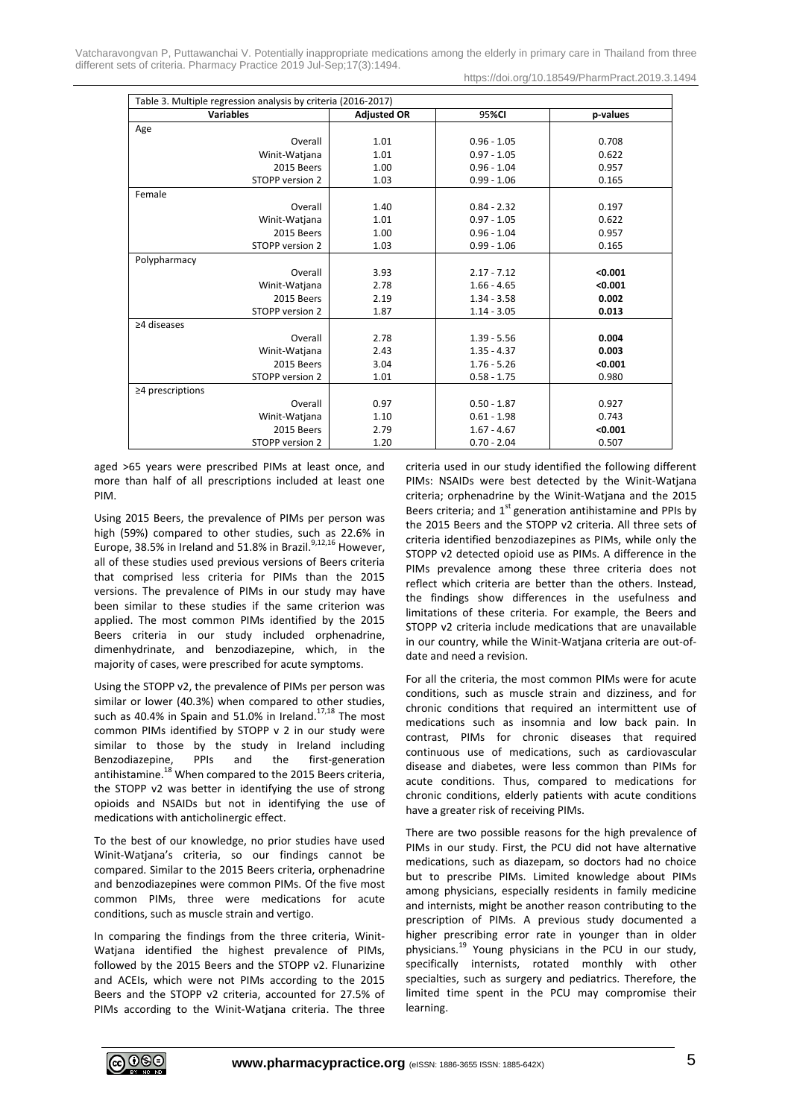Vatcharavongvan P, Puttawanchai V. Potentially inappropriate medications among the elderly in primary care in Thailand from three different sets of criteria. Pharmacy Practice 2019 Jul-Sep;17(3):1494.

https://doi.org/10.18549/PharmPract.2019.3.1494

| Table 3. Multiple regression analysis by criteria (2016-2017) |                    |               |          |  |  |  |  |
|---------------------------------------------------------------|--------------------|---------------|----------|--|--|--|--|
| <b>Variables</b>                                              | <b>Adjusted OR</b> | 95%CI         | p-values |  |  |  |  |
| Age                                                           |                    |               |          |  |  |  |  |
| Overall                                                       | 1.01               | $0.96 - 1.05$ | 0.708    |  |  |  |  |
| Winit-Watjana                                                 | 1.01               | $0.97 - 1.05$ | 0.622    |  |  |  |  |
| 2015 Beers                                                    | 1.00               | $0.96 - 1.04$ | 0.957    |  |  |  |  |
| STOPP version 2                                               | 1.03               | $0.99 - 1.06$ | 0.165    |  |  |  |  |
| Female                                                        |                    |               |          |  |  |  |  |
| Overall                                                       | 1.40               | $0.84 - 2.32$ | 0.197    |  |  |  |  |
| Winit-Watjana                                                 | 1.01               | $0.97 - 1.05$ | 0.622    |  |  |  |  |
| 2015 Beers                                                    | 1.00               | $0.96 - 1.04$ | 0.957    |  |  |  |  |
| STOPP version 2                                               | 1.03               | $0.99 - 1.06$ | 0.165    |  |  |  |  |
| Polypharmacy                                                  |                    |               |          |  |  |  |  |
| Overall                                                       | 3.93               | $2.17 - 7.12$ | < 0.001  |  |  |  |  |
| Winit-Watjana                                                 | 2.78               | $1.66 - 4.65$ | < 0.001  |  |  |  |  |
| 2015 Beers                                                    | 2.19               | $1.34 - 3.58$ | 0.002    |  |  |  |  |
| STOPP version 2                                               | 1.87               | $1.14 - 3.05$ | 0.013    |  |  |  |  |
| ≥4 diseases                                                   |                    |               |          |  |  |  |  |
| Overall                                                       | 2.78               | $1.39 - 5.56$ | 0.004    |  |  |  |  |
| Winit-Watjana                                                 | 2.43               | $1.35 - 4.37$ | 0.003    |  |  |  |  |
| 2015 Beers                                                    | 3.04               | $1.76 - 5.26$ | < 0.001  |  |  |  |  |
| STOPP version 2                                               | 1.01               | $0.58 - 1.75$ | 0.980    |  |  |  |  |
| $\geq$ 4 prescriptions                                        |                    |               |          |  |  |  |  |
| Overall                                                       | 0.97               | $0.50 - 1.87$ | 0.927    |  |  |  |  |
| Winit-Watjana                                                 | 1.10               | $0.61 - 1.98$ | 0.743    |  |  |  |  |
| 2015 Beers                                                    | 2.79               | $1.67 - 4.67$ | < 0.001  |  |  |  |  |
| STOPP version 2                                               | 1.20               | $0.70 - 2.04$ | 0.507    |  |  |  |  |

aged >65 years were prescribed PIMs at least once, and more than half of all prescriptions included at least one PIM.

Using 2015 Beers, the prevalence of PIMs per person was high (59%) compared to other studies, such as 22.6% in Europe, 38.5% in Ireland and 51.8% in Brazil.<sup>9,12,16</sup> However, all of these studies used previous versions of Beers criteria that comprised less criteria for PIMs than the 2015 versions. The prevalence of PIMs in our study may have been similar to these studies if the same criterion was applied. The most common PIMs identified by the 2015 Beers criteria in our study included orphenadrine, dimenhydrinate, and benzodiazepine, which, in the majority of cases, were prescribed for acute symptoms.

Using the STOPP v2, the prevalence of PIMs per person was similar or lower (40.3%) when compared to other studies, such as 40.4% in Spain and 51.0% in Ireland.<sup>17,18</sup> The most common PIMs identified by STOPP v 2 in our study were similar to those by the study in Ireland including Benzodiazepine, PPIs and the first-generation antihistamine.<sup>18</sup> When compared to the 2015 Beers criteria, the STOPP v2 was better in identifying the use of strong opioids and NSAIDs but not in identifying the use of medications with anticholinergic effect.

To the best of our knowledge, no prior studies have used Winit-Watjana's criteria, so our findings cannot be compared. Similar to the 2015 Beers criteria, orphenadrine and benzodiazepines were common PIMs. Of the five most common PIMs, three were medications for acute conditions, such as muscle strain and vertigo.

In comparing the findings from the three criteria, Winit-Watjana identified the highest prevalence of PIMs, followed by the 2015 Beers and the STOPP v2. Flunarizine and ACEIs, which were not PIMs according to the 2015 Beers and the STOPP v2 criteria, accounted for 27.5% of PIMs according to the Winit-Watjana criteria. The three criteria used in our study identified the following different PIMs: NSAIDs were best detected by the Winit-Watjana criteria; orphenadrine by the Winit-Watjana and the 2015 Beers criteria; and  $1<sup>st</sup>$  generation antihistamine and PPIs by the 2015 Beers and the STOPP v2 criteria. All three sets of criteria identified benzodiazepines as PIMs, while only the STOPP v2 detected opioid use as PIMs. A difference in the PIMs prevalence among these three criteria does not reflect which criteria are better than the others. Instead, the findings show differences in the usefulness and limitations of these criteria. For example, the Beers and STOPP v2 criteria include medications that are unavailable in our country, while the Winit-Watjana criteria are out-ofdate and need a revision.

For all the criteria, the most common PIMs were for acute conditions, such as muscle strain and dizziness, and for chronic conditions that required an intermittent use of medications such as insomnia and low back pain. In contrast, PIMs for chronic diseases that required continuous use of medications, such as cardiovascular disease and diabetes, were less common than PIMs for acute conditions. Thus, compared to medications for chronic conditions, elderly patients with acute conditions have a greater risk of receiving PIMs.

There are two possible reasons for the high prevalence of PIMs in our study. First, the PCU did not have alternative medications, such as diazepam, so doctors had no choice but to prescribe PIMs. Limited knowledge about PIMs among physicians, especially residents in family medicine and internists, might be another reason contributing to the prescription of PIMs. A previous study documented a higher prescribing error rate in younger than in older physicians. <sup>19</sup> Young physicians in the PCU in our study, specifically internists, rotated monthly with other specialties, such as surgery and pediatrics. Therefore, the limited time spent in the PCU may compromise their learning.

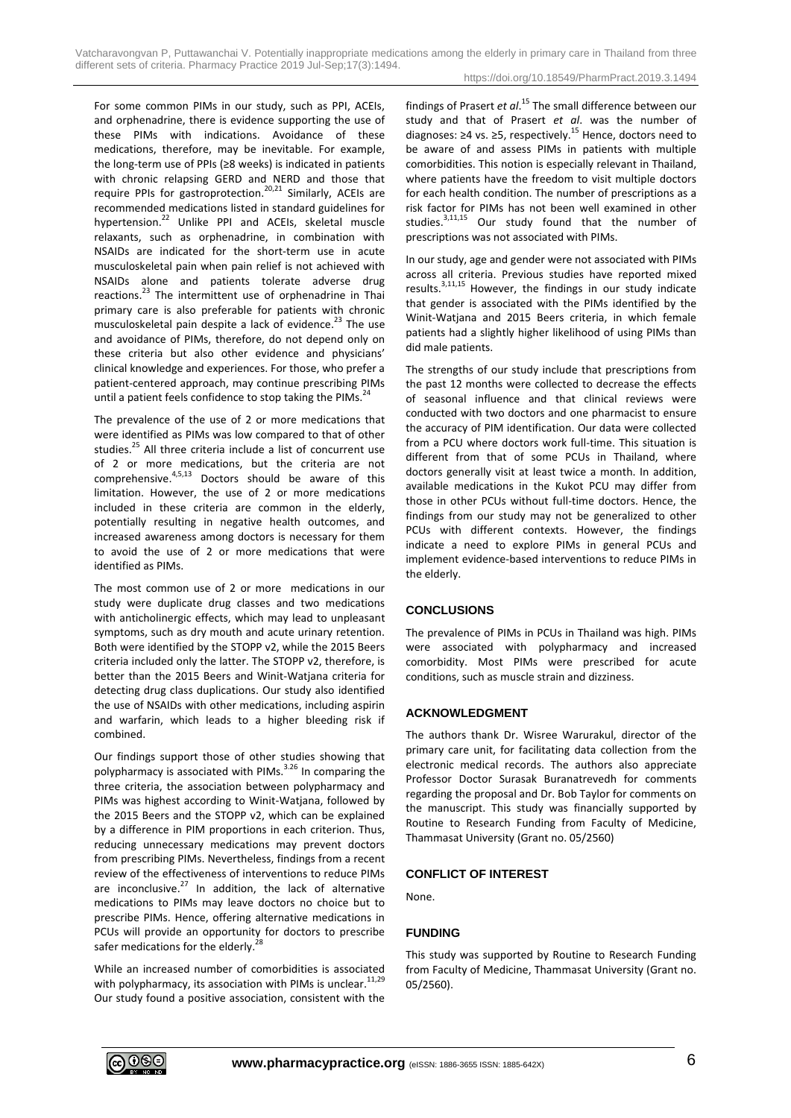Vatcharavongvan P, Puttawanchai V. Potentially inappropriate medications among the elderly in primary care in Thailand from three different sets of criteria. Pharmacy Practice 2019 Jul-Sep;17(3):1494.

For some common PIMs in our study, such as PPI, ACEIs, and orphenadrine, there is evidence supporting the use of these PIMs with indications. Avoidance of these medications, therefore, may be inevitable. For example, the long-term use of PPIs (≥8 weeks) is indicated in patients with chronic relapsing GERD and NERD and those that require PPIs for gastroprotection.<sup>20,21</sup> Similarly, ACEIs are recommended medications listed in standard guidelines for hypertension.<sup>22</sup> Unlike PPI and ACEIs, skeletal muscle relaxants, such as orphenadrine, in combination with NSAIDs are indicated for the short-term use in acute musculoskeletal pain when pain relief is not achieved with NSAIDs alone and patients tolerate adverse drug reactions.<sup>23</sup> The intermittent use of orphenadrine in Thai primary care is also preferable for patients with chronic musculoskeletal pain despite a lack of evidence. <sup>23</sup> The use and avoidance of PIMs, therefore, do not depend only on these criteria but also other evidence and physicians' clinical knowledge and experiences. For those, who prefer a patient-centered approach, may continue prescribing PIMs until a patient feels confidence to stop taking the PIMs.<sup>24</sup>

The prevalence of the use of 2 or more medications that were identified as PIMs was low compared to that of other studies.<sup>25</sup> All three criteria include a list of concurrent use of 2 or more medications, but the criteria are not comprehensive.<sup>4,5,13</sup> Doctors should be aware of this limitation. However, the use of 2 or more medications included in these criteria are common in the elderly, potentially resulting in negative health outcomes, and increased awareness among doctors is necessary for them to avoid the use of 2 or more medications that were identified as PIMs.

The most common use of 2 or more medications in our study were duplicate drug classes and two medications with anticholinergic effects, which may lead to unpleasant symptoms, such as dry mouth and acute urinary retention. Both were identified by the STOPP v2, while the 2015 Beers criteria included only the latter. The STOPP v2, therefore, is better than the 2015 Beers and Winit-Watjana criteria for detecting drug class duplications. Our study also identified the use of NSAIDs with other medications, including aspirin and warfarin, which leads to a higher bleeding risk if combined.

Our findings support those of other studies showing that polypharmacy is associated with PIMs. $3.26$  In comparing the three criteria, the association between polypharmacy and PIMs was highest according to Winit-Watjana, followed by the 2015 Beers and the STOPP v2, which can be explained by a difference in PIM proportions in each criterion. Thus, reducing unnecessary medications may prevent doctors from prescribing PIMs. Nevertheless, findings from a recent review of the effectiveness of interventions to reduce PIMs are inconclusive.<sup>27</sup> In addition, the lack of alternative medications to PIMs may leave doctors no choice but to prescribe PIMs. Hence, offering alternative medications in PCUs will provide an opportunity for doctors to prescribe safer medications for the elderly.<sup>28</sup>

While an increased number of comorbidities is associated with polypharmacy, its association with PIMs is unclear.<sup>11,29</sup> Our study found a positive association, consistent with the

findings of Prasert *et al*. <sup>15</sup> The small difference between our study and that of Prasert *et al*. was the number of diagnoses: ≥4 vs. ≥5, respectively.<sup>15</sup> Hence, doctors need to be aware of and assess PIMs in patients with multiple comorbidities. This notion is especially relevant in Thailand, where patients have the freedom to visit multiple doctors for each health condition. The number of prescriptions as a risk factor for PIMs has not been well examined in other studies.<sup>3,11,15</sup> Our study found that the number of prescriptions was not associated with PIMs.

In our study, age and gender were not associated with PIMs across all criteria. Previous studies have reported mixed results.3,11,15 However, the findings in our study indicate that gender is associated with the PIMs identified by the Winit-Watjana and 2015 Beers criteria, in which female patients had a slightly higher likelihood of using PIMs than did male patients.

The strengths of our study include that prescriptions from the past 12 months were collected to decrease the effects of seasonal influence and that clinical reviews were conducted with two doctors and one pharmacist to ensure the accuracy of PIM identification. Our data were collected from a PCU where doctors work full-time. This situation is different from that of some PCUs in Thailand, where doctors generally visit at least twice a month. In addition, available medications in the Kukot PCU may differ from those in other PCUs without full-time doctors. Hence, the findings from our study may not be generalized to other PCUs with different contexts. However, the findings indicate a need to explore PIMs in general PCUs and implement evidence-based interventions to reduce PIMs in the elderly.

## **CONCLUSIONS**

The prevalence of PIMs in PCUs in Thailand was high. PIMs were associated with polypharmacy and increased comorbidity. Most PIMs were prescribed for acute conditions, such as muscle strain and dizziness.

## **ACKNOWLEDGMENT**

The authors thank Dr. Wisree Warurakul, director of the primary care unit, for facilitating data collection from the electronic medical records. The authors also appreciate Professor Doctor Surasak Buranatrevedh for comments regarding the proposal and Dr. Bob Taylor for comments on the manuscript. This study was financially supported by Routine to Research Funding from Faculty of Medicine, Thammasat University (Grant no. 05/2560)

## **CONFLICT OF INTEREST**

None.

## **FUNDING**

This study was supported by Routine to Research Funding from Faculty of Medicine, Thammasat University (Grant no. 05/2560).

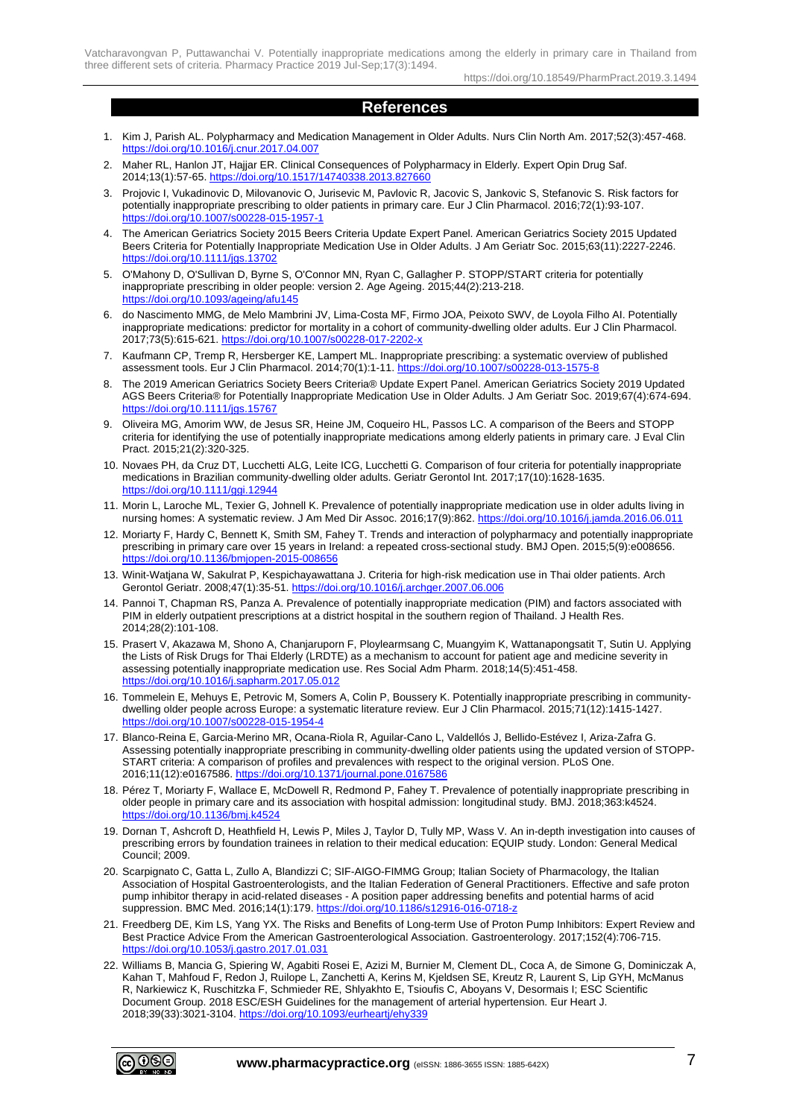https://doi.org/10.18549/PharmPract.2019.3.1494

## **References**

- 1. Kim J, Parish AL. Polypharmacy and Medication Management in Older Adults. Nurs Clin North Am. 2017;52(3):457-468. <https://doi.org/10.1016/j.cnur.2017.04.007>
- 2. Maher RL, Hanlon JT, Hajjar ER, Clinical Consequences of Polypharmacy in Elderly, Expert Opin Drug Saf. 2014;13(1):57-65. https://doi.org/10.1517/14740338.2013.8276
- 3. Projovic I, Vukadinovic D, Milovanovic O, Jurisevic M, Pavlovic R, Jacovic S, Jankovic S, Stefanovic S. Risk factors for potentially inappropriate prescribing to older patients in primary care. Eur J Clin Pharmacol. 2016;72(1):93-107. <https://doi.org/10.1007/s00228-015-1957-1>
- 4. The American Geriatrics Society 2015 Beers Criteria Update Expert Panel. American Geriatrics Society 2015 Updated Beers Criteria for Potentially Inappropriate Medication Use in Older Adults. J Am Geriatr Soc. 2015;63(11):2227-2246. <https://doi.org/10.1111/jgs.13702>
- 5. O'Mahony D, O'Sullivan D, Byrne S, O'Connor MN, Ryan C, Gallagher P. STOPP/START criteria for potentially inappropriate prescribing in older people: version 2. Age Ageing. 2015;44(2):213-218. <https://doi.org/10.1093/ageing/afu145>
- 6. do Nascimento MMG, de Melo Mambrini JV, Lima-Costa MF, Firmo JOA, Peixoto SWV, de Loyola Filho AI. Potentially inappropriate medications: predictor for mortality in a cohort of community-dwelling older adults. Eur J Clin Pharmacol. 2017;73(5):615-621.<https://doi.org/10.1007/s00228-017-2202-x>
- 7. Kaufmann CP, Tremp R, Hersberger KE, Lampert ML. Inappropriate prescribing: a systematic overview of published assessment tools. Eur J Clin Pharmacol. 2014;70(1):1-11[. https://doi.org/10.1007/s00228-013-1575-8](https://doi.org/10.1007/s00228-013-1575-8)
- 8. The 2019 American Geriatrics Society Beers Criteria® Update Expert Panel. American Geriatrics Society 2019 Updated AGS Beers Criteria® for Potentially Inappropriate Medication Use in Older Adults. J Am Geriatr Soc. 2019;67(4):674-694. <https://doi.org/10.1111/jgs.15767>
- 9. Oliveira MG, Amorim WW, de Jesus SR, Heine JM, Coqueiro HL, Passos LC. A comparison of the Beers and STOPP criteria for identifying the use of potentially inappropriate medications among elderly patients in primary care. J Eval Clin Pract. 2015;21(2):320-325.
- 10. Novaes PH, da Cruz DT, Lucchetti ALG, Leite ICG, Lucchetti G. Comparison of four criteria for potentially inappropriate medications in Brazilian community-dwelling older adults. Geriatr Gerontol Int. 2017;17(10):1628-1635. <https://doi.org/10.1111/ggi.12944>
- 11. Morin L, Laroche ML, Texier G, Johnell K. Prevalence of potentially inappropriate medication use in older adults living in nursing homes: A systematic review. J Am Med Dir Assoc. 2016;17(9):862.<https://doi.org/10.1016/j.jamda.2016.06.011>
- 12. Moriarty F, Hardy C, Bennett K, Smith SM, Fahey T. Trends and interaction of polypharmacy and potentially inappropriate prescribing in primary care over 15 years in Ireland: a repeated cross-sectional study. BMJ Open. 2015;5(9):e008656. <https://doi.org/10.1136/bmjopen-2015-008656>
- 13. Winit-Watjana W, Sakulrat P, Kespichayawattana J. Criteria for high-risk medication use in Thai older patients. Arch Gerontol Geriatr. 2008;47(1):35-51.<https://doi.org/10.1016/j.archger.2007.06.006>
- 14. Pannoi T, Chapman RS, Panza A. Prevalence of potentially inappropriate medication (PIM) and factors associated with PIM in elderly outpatient prescriptions at a district hospital in the southern region of Thailand. J Health Res. 2014;28(2):101-108.
- 15. Prasert V, Akazawa M, Shono A, Chanjaruporn F, Ploylearmsang C, Muangyim K, Wattanapongsatit T, Sutin U. Applying the Lists of Risk Drugs for Thai Elderly (LRDTE) as a mechanism to account for patient age and medicine severity in assessing potentially inappropriate medication use. Res Social Adm Pharm. 2018;14(5):451-458. <https://doi.org/10.1016/j.sapharm.2017.05.012>
- 16. Tommelein E, Mehuys E, Petrovic M, Somers A, Colin P, Boussery K. Potentially inappropriate prescribing in communitydwelling older people across Europe: a systematic literature review. Eur J Clin Pharmacol. 2015;71(12):1415-1427. <https://doi.org/10.1007/s00228-015-1954-4>
- 17. Blanco-Reina E, Garcia-Merino MR, Ocana-Riola R, Aguilar-Cano L, Valdellós J, Bellido-Estévez I, Ariza-Zafra G. Assessing potentially inappropriate prescribing in community-dwelling older patients using the updated version of STOPP-START criteria: A comparison of profiles and prevalences with respect to the original version. PLoS One. 2016;11(12):e0167586[. https://doi.org/10.1371/journal.pone.0167586](https://doi.org/10.1371/journal.pone.0167586)
- 18. Pérez T, Moriarty F, Wallace E, McDowell R, Redmond P, Fahey T. Prevalence of potentially inappropriate prescribing in older people in primary care and its association with hospital admission: longitudinal study. BMJ. 2018;363:k4524. <https://doi.org/10.1136/bmj.k4524>
- 19. Dornan T, Ashcroft D, Heathfield H, Lewis P, Miles J, Taylor D, Tully MP, Wass V. An in-depth investigation into causes of prescribing errors by foundation trainees in relation to their medical education: EQUIP study. London: General Medical Council; 2009.
- 20. Scarpignato C, Gatta L, Zullo A, Blandizzi C; SIF-AIGO-FIMMG Group; Italian Society of Pharmacology, the Italian Association of Hospital Gastroenterologists, and the Italian Federation of General Practitioners. Effective and safe proton pump inhibitor therapy in acid-related diseases - A position paper addressing benefits and potential harms of acid suppression. BMC Med. 2016;14(1):179[. https://doi.org/10.1186/s12916-016-0718-z](https://doi.org/10.1186/s12916-016-0718-z)
- 21. Freedberg DE, Kim LS, Yang YX. The Risks and Benefits of Long-term Use of Proton Pump Inhibitors: Expert Review and Best Practice Advice From the American Gastroenterological Association. Gastroenterology. 2017;152(4):706-715. <https://doi.org/10.1053/j.gastro.2017.01.031>
- 22. Williams B, Mancia G, Spiering W, Agabiti Rosei E, Azizi M, Burnier M, Clement DL, Coca A, de Simone G, Dominiczak A, Kahan T, Mahfoud F, Redon J, Ruilope L, Zanchetti A, Kerins M, Kjeldsen SE, Kreutz R, Laurent S, Lip GYH, McManus R, Narkiewicz K, Ruschitzka F, Schmieder RE, Shlyakhto E, Tsioufis C, Aboyans V, Desormais I; ESC Scientific Document Group. 2018 ESC/ESH Guidelines for the management of arterial hypertension. Eur Heart J. 2018;39(33):3021-3104.<https://doi.org/10.1093/eurheartj/ehy339>